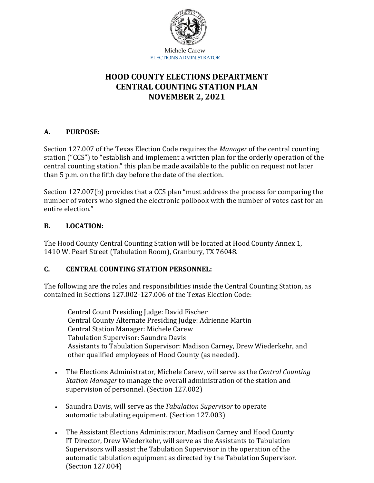

# **HOOD COUNTY ELECTIONS DEPARTMENT CENTRAL COUNTING STATION PLAN NOVEMBER 2, 2021**

### **A. PURPOSE:**

Section 127.007 of the Texas Election Code requires the *Manager* of the central counting station ("CCS") to "establish and implement a written plan for the orderly operation of the central counting station." this plan be made available to the public on request not later than 5 p.m. on the fifth day before the date of the election.

Section 127.007(b) provides that a CCS plan "must address the process for comparing the number of voters who signed the electronic pollbook with the number of votes cast for an entire election."

#### **B. LOCATION:**

The Hood County Central Counting Station will be located at Hood County Annex 1, 1410 W. Pearl Street (Tabulation Room), Granbury, TX 76048.

### **C. CENTRAL COUNTING STATION PERSONNEL:**

The following are the roles and responsibilities inside the Central Counting Station, as contained in Sections 127.002-127.006 of the Texas Election Code:

Central Count Presiding Judge: David Fischer Central County Alternate Presiding Judge: Adrienne Martin Central Station Manager: Michele Carew Tabulation Supervisor: Saundra Davis Assistants to Tabulation Supervisor: Madison Carney, Drew Wiederkehr, and other qualified employees of Hood County (as needed).

- The Elections Administrator, Michele Carew, will serve as the *Central Counting Station Manager* to manage the overall administration of the station and supervision of personnel. (Section 127.002)
- Saundra Davis, will serve as the*Tabulation Supervisor* to operate automatic tabulating equipment. (Section 127.003)
- The Assistant Elections Administrator, Madison Carney and Hood County IT Director, Drew Wiederkehr, will serve as the Assistants to Tabulation Supervisors will assist the Tabulation Supervisor in the operation of the automatic tabulation equipment as directed by the Tabulation Supervisor. (Section 127.004)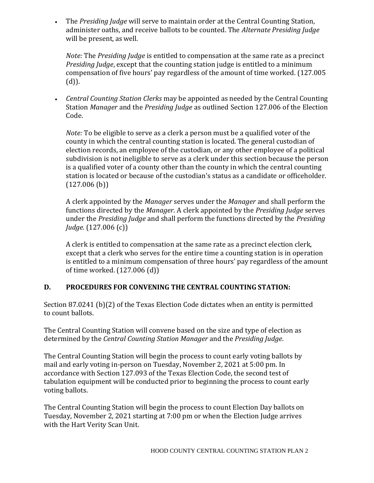• The *Presiding Judge* will serve to maintain order at the Central Counting Station, administer oaths, and receive ballots to be counted. The *Alternate Presiding Judge*  will be present, as well.

*Note:* The *Presiding Judge* is entitled to compensation at the same rate as a precinct *Presiding Judge*, except that the counting station judge is entitled to a minimum compensation of five hours' pay regardless of the amount of time worked. (127.005 (d)).

• *Central Counting Station Clerks* may be appointed as needed by the Central Counting Station *Manager* and the *Presiding Judge* as outlined Section 127.006 of the Election Code.

*Note:* To be eligible to serve as a clerk a person must be a qualified voter of the county in which the central counting station is located. The general custodian of election records, an employee of the custodian, or any other employee of a political subdivision is not ineligible to serve as a clerk under this section because the person is a qualified voter of a county other than the county in which the central counting station is located or because of the custodian's status as a candidate or officeholder.  $(127.006$  (b))

A clerk appointed by the *Manager* serves under the *Manager* and shall perform the functions directed by the *Manager*. A clerk appointed by the *Presiding Judge* serves under the *Presiding Judge* and shall perform the functions directed by the *Presiding Judge.* (127.006 (c))

A clerk is entitled to compensation at the same rate as a precinct election clerk, except that a clerk who serves for the entire time a counting station is in operation is entitled to a minimum compensation of three hours' pay regardless of the amount of time worked. (127.006 (d))

## **D. PROCEDURES FOR CONVENING THE CENTRAL COUNTING STATION:**

Section 87.0241 (b)(2) of the Texas Election Code dictates when an entity is permitted to count ballots.

The Central Counting Station will convene based on the size and type of election as determined by the *Central Counting Station Manager* and the *Presiding Judge*.

The Central Counting Station will begin the process to count early voting ballots by mail and early voting in-person on Tuesday, November 2, 2021 at 5:00 pm. In accordance with Section 127.093 of the Texas Election Code, the second test of tabulation equipment will be conducted prior to beginning the process to count early voting ballots.

The Central Counting Station will begin the process to count Election Day ballots on Tuesday, November 2, 2021 starting at 7:00 pm or when the Election Judge arrives with the Hart Verity Scan Unit.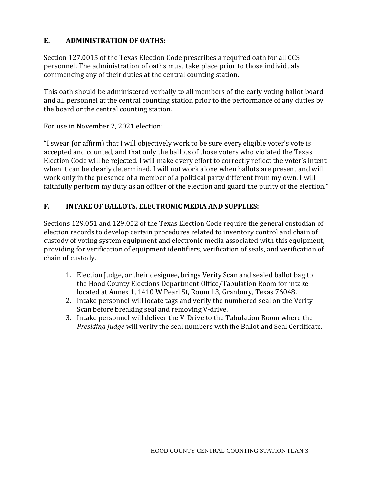### **E. ADMINISTRATION OF OATHS:**

Section 127.0015 of the Texas Election Code prescribes a required oath for all CCS personnel. The administration of oaths must take place prior to those individuals commencing any of their duties at the central counting station.

This oath should be administered verbally to all members of the early voting ballot board and all personnel at the central counting station prior to the performance of any duties by the board or the central counting station.

#### For use in November 2, 2021 election:

"I swear (or affirm) that I will objectively work to be sure every eligible voter's vote is accepted and counted, and that only the ballots of those voters who violated the Texas Election Code will be rejected. I will make every effort to correctly reflect the voter's intent when it can be clearly determined. I will not work alone when ballots are present and will work only in the presence of a member of a political party different from my own. I will faithfully perform my duty as an officer of the election and guard the purity of the election."

#### **F. INTAKE OF BALLOTS, ELECTRONIC MEDIA AND SUPPLIES:**

Sections 129.051 and 129.052 of the Texas Election Code require the general custodian of election records to develop certain procedures related to inventory control and chain of custody of voting system equipment and electronic media associated with this equipment, providing for verification of equipment identifiers, verification of seals, and verification of chain of custody.

- 1. Election Judge, or their designee, brings Verity Scan and sealed ballot bag to the Hood County Elections Department Office/Tabulation Room for intake located at Annex 1, 1410 W Pearl St, Room 13, Granbury, Texas 76048.
- 2. Intake personnel will locate tags and verify the numbered seal on the Verity Scan before breaking seal and removing V-drive.
- 3. Intake personnel will deliver the V-Drive to the Tabulation Room where the *Presiding Judge* will verify the seal numbers withthe Ballot and Seal Certificate.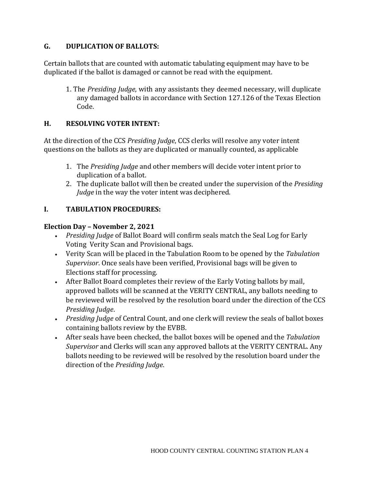#### **G. DUPLICATION OF BALLOTS:**

Certain ballots that are counted with automatic tabulating equipment may have to be duplicated if the ballot is damaged or cannot be read with the equipment.

1. The *Presiding Judge*, with any assistants they deemed necessary, will duplicate any damaged ballots in accordance with Section 127.126 of the Texas Election Code.

#### **H. RESOLVING VOTER INTENT:**

At the direction of the CCS *Presiding Judge*, CCS clerks will resolve any voter intent questions on the ballots as they are duplicated or manually counted, as applicable

- 1. The *Presiding Judge* and other members will decide voter intent prior to duplication of a ballot.
- 2. The duplicate ballot will then be created under the supervision of the *Presiding Judge* in the way the voter intent was deciphered.

### **I. TABULATION PROCEDURES:**

#### **Election Day – November 2, 2021**

- *Presiding Judge* of Ballot Board will confirm seals match the Seal Log for Early Voting Verity Scan and Provisional bags.
- Verity Scan will be placed in the Tabulation Room to be opened by the *Tabulation Supervisor*. Once seals have been verified, Provisional bags will be given to Elections staff for processing.
- After Ballot Board completes their review of the Early Voting ballots by mail, approved ballots will be scanned at the VERITY CENTRAL, any ballots needing to be reviewed will be resolved by the resolution board under the direction of the CCS *Presiding Judge*.
- *Presiding Judge* of Central Count, and one clerk will review the seals of ballot boxes containing ballots review by the EVBB.
- After seals have been checked, the ballot boxes will be opened and the *Tabulation Supervisor* and Clerks will scan any approved ballots at the VERITY CENTRAL. Any ballots needing to be reviewed will be resolved by the resolution board under the direction of the *Presiding Judge*.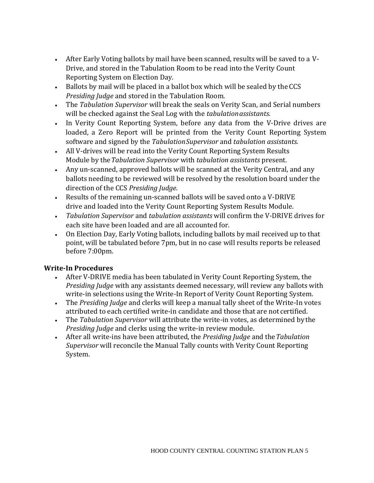- After Early Voting ballots by mail have been scanned, results will be saved to a V-Drive, and stored in the Tabulation Room to be read into the Verity Count Reporting System on Election Day.
- Ballots by mail will be placed in a ballot box which will be sealed by the CCS *Presiding Judge* and stored in the Tabulation Room.
- The *Tabulation Supervisor* will break the seals on Verity Scan, and Serial numbers will be checked against the Seal Log with the *tabulationassistants*.
- In Verity Count Reporting System, before any data from the V-Drive drives are loaded, a Zero Report will be printed from the Verity Count Reporting System software and signed by the *TabulationSupervisor* and *tabulation assistants*.
- All V-drives will be read into the Verity Count Reporting System Results Module by the*Tabulation Supervisor* with *tabulation assistants* present.
- Any un-scanned, approved ballots will be scanned at the Verity Central, and any ballots needing to be reviewed will be resolved by the resolution board under the direction of the CCS *Presiding Judge*.
- Results of the remaining un-scanned ballots will be saved onto a V-DRIVE drive and loaded into the Verity Count Reporting System Results Module.
- *Tabulation Supervisor* and *tabulation assistants* will confirm the V-DRIVE drives for each site have been loaded and are all accounted for.
- On Election Day, Early Voting ballots, including ballots by mail received up to that point, will be tabulated before 7pm, but in no case will results reports be released before 7:00pm.

### **Write-In Procedures**

- After V-DRIVE media has been tabulated in Verity Count Reporting System, the *Presiding Judge* with any assistants deemed necessary, will review any ballots with write-in selections using the Write-In Report of Verity Count Reporting System.
- The *Presiding Judge* and clerks will keep a manual tally sheet of the Write-In votes attributed to each certified write-in candidate and those that are not certified.
- The *Tabulation Supervisor* will attribute the write-in votes, as determined by the *Presiding Judge* and clerks using the write-in review module.
- After all write-ins have been attributed, the *Presiding Judge* and the*Tabulation Supervisor* will reconcile the Manual Tally counts with Verity Count Reporting System.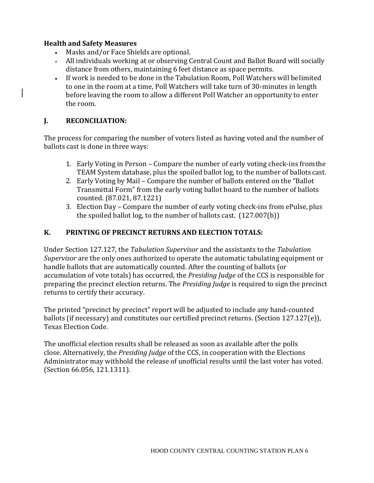#### **Health and Safety Measures**

- Masks and/or Face Shields are optional.
- All individuals working at or observing Central Count and Ballot Board will socially distance from others, maintaining 6 feet distance as space permits.
- If work is needed to be done in the Tabulation Room, Poll Watchers will belimited to one in the room at a time, Poll Watchers will take turn of 30-minutes in length before leaving the room to allow a different Poll Watcher an opportunity to enter the room.

#### **J. RECONCILIATION:**

The process for comparing the number of voters listed as having voted and the number of ballots cast is done in three ways:

- 1. Early Voting in Person Compare the number of early voting check-ins fromthe TEAM System database, plus the spoiled ballot log, to the number of ballots cast.
- 2. Early Voting by Mail Compare the number of ballots entered on the "Ballot Transmittal Form" from the early voting ballot board to the number of ballots counted. (87.021, 87.1221)
- 3. Election Day Compare the number of early voting check-ins from ePulse, plus the spoiled ballot log, to the number of ballots cast. (127.007(b))

### **K. PRINTING OF PRECINCT RETURNS AND ELECTION TOTALS:**

Under Section 127.127, the *Tabulation Supervisor* and the assistants to the *Tabulation Supervisor* are the only ones authorized to operate the automatic tabulating equipment or handle ballots that are automatically counted. After the counting of ballots (or accumulation of vote totals) has occurred, the *Presiding Judge* of the CCS is responsible for preparing the precinct election returns. The *Presiding Judge* is required to sign the precinct returns to certify their accuracy.

The printed "precinct by precinct" report will be adjusted to include any hand-counted ballots (if necessary) and constitutes our certified precinct returns. (Section 127.127(e)), Texas Election Code.

The unofficial election results shall be released as soon as available after the polls close. Alternatively, the *Presiding Judge* of the CCS, in cooperation with the Elections Administrator may withhold the release of unofficial results until the last voter has voted. (Section 66.056, 121.1311).